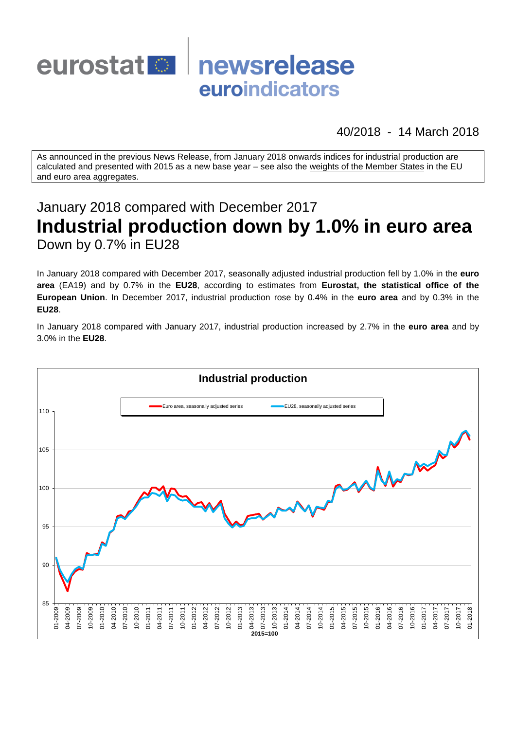

40/2018 - 14 March 2018

As announced in the previous News Release, from January 2018 onwards indices for industrial production are calculated and presented with 2015 as a new base year – see also the [weights of the Member States](https://circabc.europa.eu/w/browse/d72689ec-103e-41a8-81d1-2e5ea5f171f5) in the EU and euro area aggregates.

# January 2018 compared with December 2017 **Industrial production down by 1.0% in euro area** Down by 0.7% in EU28

In January 2018 compared with December 2017, seasonally adjusted industrial production fell by 1.0% in the **euro area** (EA19) and by 0.7% in the **EU28**, according to estimates from **Eurostat, the statistical office of the European Union**. In December 2017, industrial production rose by 0.4% in the **euro area** and by 0.3% in the **EU28**.

In January 2018 compared with January 2017, industrial production increased by 2.7% in the **euro area** and by 3.0% in the **EU28**.

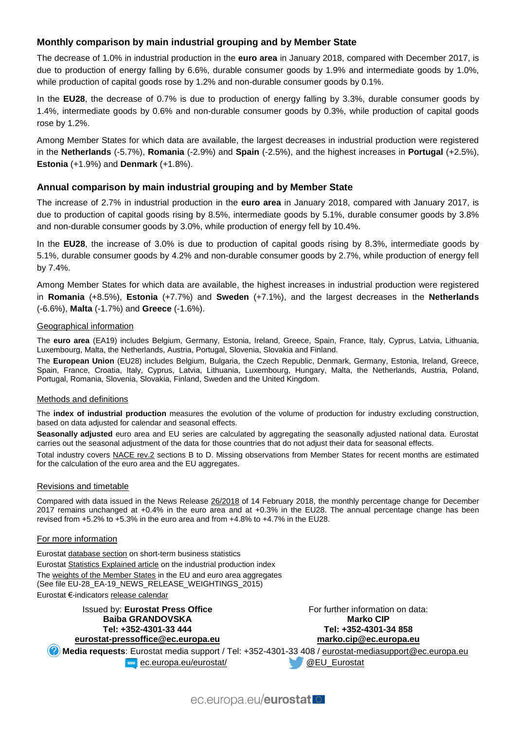# **Monthly comparison by main industrial grouping and by Member State**

The decrease of 1.0% in industrial production in the **euro area** in January 2018, compared with December 2017, is due to production of energy falling by 6.6%, durable consumer goods by 1.9% and intermediate goods by 1.0%, while production of capital goods rose by 1.2% and non-durable consumer goods by 0.1%.

In the **EU28**, the decrease of 0.7% is due to production of energy falling by 3.3%, durable consumer goods by 1.4%, intermediate goods by 0.6% and non-durable consumer goods by 0.3%, while production of capital goods rose by 1.2%.

Among Member States for which data are available, the largest decreases in industrial production were registered in the **Netherlands** (-5.7%), **Romania** (-2.9%) and **Spain** (-2.5%), and the highest increases in **Portugal** (+2.5%), **Estonia** (+1.9%) and **Denmark** (+1.8%).

# **Annual comparison by main industrial grouping and by Member State**

The increase of 2.7% in industrial production in the **euro area** in January 2018, compared with January 2017, is due to production of capital goods rising by 8.5%, intermediate goods by 5.1%, durable consumer goods by 3.8% and non-durable consumer goods by 3.0%, while production of energy fell by 10.4%.

In the **EU28**, the increase of 3.0% is due to production of capital goods rising by 8.3%, intermediate goods by 5.1%, durable consumer goods by 4.2% and non-durable consumer goods by 2.7%, while production of energy fell by 7.4%.

Among Member States for which data are available, the highest increases in industrial production were registered in **Romania** (+8.5%), **Estonia** (+7.7%) and **Sweden** (+7.1%), and the largest decreases in the **Netherlands** (-6.6%), **Malta** (-1.7%) and **Greece** (-1.6%).

#### Geographical information

The **euro area** (EA19) includes Belgium, Germany, Estonia, Ireland, Greece, Spain, France, Italy, Cyprus, Latvia, Lithuania, Luxembourg, Malta, the Netherlands, Austria, Portugal, Slovenia, Slovakia and Finland.

The **European Union** (EU28) includes Belgium, Bulgaria, the Czech Republic, Denmark, Germany, Estonia, Ireland, Greece, Spain, France, Croatia, Italy, Cyprus, Latvia, Lithuania, Luxembourg, Hungary, Malta, the Netherlands, Austria, Poland, Portugal, Romania, Slovenia, Slovakia, Finland, Sweden and the United Kingdom.

#### Methods and definitions

The **index of industrial production** measures the evolution of the volume of production for industry excluding construction, based on data adjusted for calendar and seasonal effects.

**Seasonally adjusted** euro area and EU series are calculated by aggregating the seasonally adjusted national data. Eurostat carries out the seasonal adjustment of the data for those countries that do not adjust their data for seasonal effects.

Total industry covers [NACE rev.2](http://ec.europa.eu/eurostat/ramon/nomenclatures/index.cfm?TargetUrl=LST_NOM_DTL&StrNom=NACE_REV2&StrLanguageCode=EN&IntPcKey=&StrLayoutCode=HIERARCHIC) sections B to D. Missing observations from Member States for recent months are estimated for the calculation of the euro area and the EU aggregates.

#### Revisions and timetable

Compared with data issued in the News Release [26/2018](http://ec.europa.eu/eurostat/documents/2995521/8662961/4-14022018-AP-EN.pdf/4f773c87-1844-4bd3-840f-d5d9f0c84a22) of 14 February 2018, the monthly percentage change for December 2017 remains unchanged at +0.4% in the euro area and at +0.3% in the EU28. The annual percentage change has been revised from +5.2% to +5.3% in the euro area and from +4.8% to +4.7% in the EU28.

#### For more information

Eurosta[t database section](http://ec.europa.eu/eurostat/web/short-term-business-statistics/data/database) on short-term business statistics Eurosta[t Statistics Explained article](http://ec.europa.eu/eurostat/statistics-explained/index.php/Industrial_production_(volume)_index_overview) on the industrial production index Th[e weights of the Member States](https://circabc.europa.eu/w/browse/d72689ec-103e-41a8-81d1-2e5ea5f171f5) in the EU and euro area aggregates (See file EU-28\_EA-19\_NEWS\_RELEASE\_WEIGHTINGS\_2015) Eurostat €-indicator[s release calendar](http://ec.europa.eu/eurostat/news/release-calendar)

Issued by: **Eurostat Press Office Baiba GRANDOVSKA Tel: +352-4301-33 444 [eurostat-pressoffice@ec.europa.eu](mailto:eurostat-pressoffice@ec.europa.eu)** For further information on data: **Marko CIP Tel: +352-4301-34 858 [marko.cip@ec.europa.eu](mailto:marko.cip@ec.europa.eu) Media requests**: Eurostat media support / Tel: +352-4301-33 408 / [eurostat-mediasupport@ec.europa.eu](mailto:eurostat-mediasupport@ec.europa.eu) **EXAMPLE EXAMPLE 2018 CONTROLLER AND REVIEW CONTROLLER CONTROLLER AND REVIEW OF CONTROLLER AND REVIEW OF CONTROLLER AND REVIEW OF CONTROLLER AND REVIEW OF CONTROLLER AND REVIEW OF CONTROLLER AND REVIEW OF CONTROLLER AND RE** 

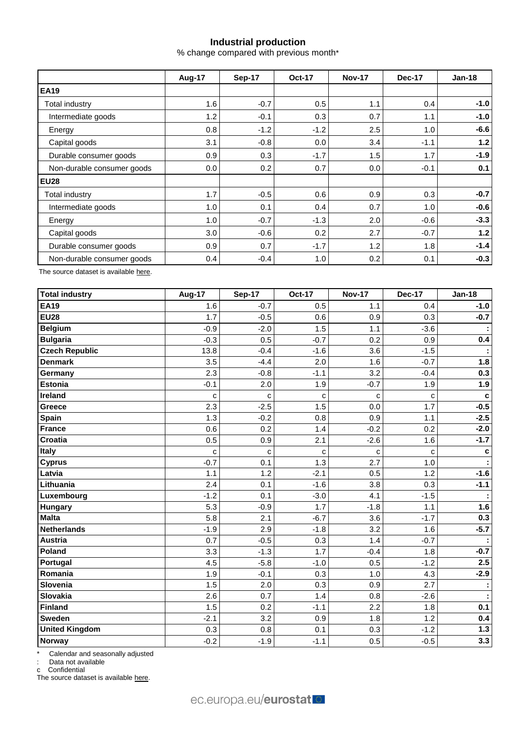# **Industrial production**

% change compared with previous month\*

|                            | <b>Aug-17</b> | <b>Sep-17</b> | <b>Oct-17</b> | <b>Nov-17</b> | <b>Dec-17</b> | $Jan-18$ |  |
|----------------------------|---------------|---------------|---------------|---------------|---------------|----------|--|
| <b>EA19</b>                |               |               |               |               |               |          |  |
| Total industry             | 1.6           | $-0.7$        | 0.5           | 1.1           | 0.4           | $-1.0$   |  |
| Intermediate goods         | 1.2           | $-0.1$        | 0.3           | 0.7           | 1.1           | $-1.0$   |  |
| Energy                     | 0.8           | $-1.2$        | $-1.2$        | 2.5           | 1.0           | $-6.6$   |  |
| Capital goods              | 3.1           | $-0.8$        | 0.0           | 3.4           | $-1.1$        | 1.2      |  |
| Durable consumer goods     | 0.9           | 0.3           | $-1.7$        | 1.5           | 1.7           | $-1.9$   |  |
| Non-durable consumer goods | 0.0           | 0.2           | 0.7           | 0.0           | $-0.1$        | 0.1      |  |
| <b>EU28</b>                |               |               |               |               |               |          |  |
| Total industry             | 1.7           | $-0.5$        | 0.6           | 0.9           | 0.3           | $-0.7$   |  |
| Intermediate goods         | 1.0           | 0.1           | 0.4           | 0.7           | 1.0           | $-0.6$   |  |
| Energy                     | 1.0           | $-0.7$        | $-1.3$        | 2.0           | $-0.6$        | $-3.3$   |  |
| Capital goods              | 3.0           | $-0.6$        | 0.2           | 2.7           | $-0.7$        | 1.2      |  |
| Durable consumer goods     | 0.9           | 0.7           | $-1.7$        | 1.2           | 1.8           | $-1.4$   |  |
| Non-durable consumer goods | 0.4           | $-0.4$        | 1.0           | 0.2           | 0.1           | $-0.3$   |  |

The source dataset is availabl[e here.](http://appsso.eurostat.ec.europa.eu/nui/show.do?query=BOOKMARK_DS-069583_QID_-53045BCF_UID_-3F171EB0&layout=TIME,C,X,0;GEO,L,Y,0;NACE_R2,L,Y,1;INDIC_BT,L,Z,0;S_ADJ,L,Z,1;UNIT,L,Z,2;INDICATORS,C,Z,3;&zSelection=DS-069583UNIT,PCH_PRE;DS-069583S_ADJ,SCA;DS-069583INDIC_BT,PROD;DS-069583INDICATORS,OBS_FLAG;&rankName1=UNIT_1_2_-1_2&rankName2=INDIC-BT_1_2_-1_2&rankName3=INDICATORS_1_2_-1_2&rankName4=S-ADJ_1_2_-1_2&rankName5=TIME_1_0_0_0&rankName6=GEO_1_0_0_1&rankName7=NACE-R2_1_2_1_1&sortR=ASC_-1_FIRST&sortC=ASC_-1_FIRST&rStp=&cStp=&rDCh=&cDCh=&rDM=true&cDM=true&footnes=false&empty=false&wai=false&time_mode=ROLLING&time_most_recent=true&lang=EN&cfo=%23%23%23%2C%23%23%23.%23%23%23)

| <b>Total industry</b> | <b>Aug-17</b> | Sep-17 | <b>Oct-17</b> | <b>Nov-17</b> | <b>Dec-17</b> | <b>Jan-18</b> |
|-----------------------|---------------|--------|---------------|---------------|---------------|---------------|
| <b>EA19</b>           | 1.6           | $-0.7$ | 0.5           | 1.1           | 0.4           | $-1.0$        |
| <b>EU28</b>           | 1.7           | $-0.5$ | 0.6           | 0.9           | 0.3           | $-0.7$        |
| <b>Belgium</b>        | $-0.9$        | $-2.0$ | 1.5           | 1.1           | $-3.6$        |               |
| <b>Bulgaria</b>       | $-0.3$        | 0.5    | $-0.7$        | 0.2           | 0.9           | 0.4           |
| <b>Czech Republic</b> | 13.8          | $-0.4$ | $-1.6$        | 3.6           | $-1.5$        |               |
| <b>Denmark</b>        | 3.5           | $-4.4$ | 2.0           | 1.6           | $-0.7$        | 1.8           |
| Germany               | 2.3           | $-0.8$ | $-1.1$        | 3.2           | $-0.4$        | 0.3           |
| Estonia               | $-0.1$        | 2.0    | 1.9           | $-0.7$        | 1.9           | 1.9           |
| Ireland               | С             | C      | C             | C             | c             | $\mathbf c$   |
| <b>Greece</b>         | 2.3           | $-2.5$ | 1.5           | 0.0           | 1.7           | $-0.5$        |
| <b>Spain</b>          | 1.3           | $-0.2$ | 0.8           | 0.9           | 1.1           | $-2.5$        |
| France                | 0.6           | 0.2    | 1.4           | $-0.2$        | 0.2           | $-2.0$        |
| Croatia               | 0.5           | 0.9    | 2.1           | $-2.6$        | 1.6           | $-1.7$        |
| <b>Italy</b>          | C             | C      | C             | C             | C             | $\mathbf c$   |
| <b>Cyprus</b>         | $-0.7$        | 0.1    | 1.3           | 2.7           | 1.0           |               |
| Latvia                | 1.1           | 1.2    | $-2.1$        | 0.5           | 1.2           | $-1.6$        |
| Lithuania             | 2.4           | 0.1    | $-1.6$        | 3.8           | 0.3           | $-1.1$        |
| Luxembourg            | $-1.2$        | 0.1    | $-3.0$        | 4.1           | $-1.5$        |               |
| <b>Hungary</b>        | 5.3           | $-0.9$ | 1.7           | $-1.8$        | 1.1           | 1.6           |
| <b>Malta</b>          | 5.8           | 2.1    | $-6.7$        | 3.6           | $-1.7$        | 0.3           |
| Netherlands           | $-1.9$        | 2.9    | $-1.8$        | 3.2           | 1.6           | $-5.7$        |
| Austria               | 0.7           | $-0.5$ | 0.3           | 1.4           | $-0.7$        |               |
| Poland                | 3.3           | $-1.3$ | 1.7           | $-0.4$        | 1.8           | $-0.7$        |
| Portugal              | 4.5           | $-5.8$ | $-1.0$        | 0.5           | $-1.2$        | 2.5           |
| Romania               | 1.9           | $-0.1$ | 0.3           | 1.0           | 4.3           | $-2.9$        |
| Slovenia              | 1.5           | 2.0    | 0.3           | 0.9           | 2.7           |               |
| Slovakia              | 2.6           | 0.7    | 1.4           | 0.8           | $-2.6$        |               |
| Finland               | 1.5           | 0.2    | $-1.1$        | 2.2           | 1.8           | 0.1           |
| <b>Sweden</b>         | $-2.1$        | 3.2    | 0.9           | 1.8           | 1.2           | 0.4           |
| <b>United Kingdom</b> | 0.3           | 0.8    | 0.1           | 0.3           | $-1.2$        | $1.3$         |
| <b>Norway</b>         | $-0.2$        | $-1.9$ | $-1.1$        | 0.5           | $-0.5$        | 3.3           |

\* Calendar and seasonally adjusted

: Data not available

c Confidential

The source dataset is available [here.](http://appsso.eurostat.ec.europa.eu/nui/show.do?query=BOOKMARK_DS-069583_QID_-3986CD57_UID_-3F171EB0&layout=TIME,C,X,0;GEO,L,Y,0;INDIC_BT,L,Z,0;S_ADJ,L,Z,1;UNIT,L,Z,2;NACE_R2,L,Z,3;INDICATORS,C,Z,4;&zSelection=DS-069583UNIT,PCH_PRE;DS-069583S_ADJ,SCA;DS-069583INDIC_BT,PROD;DS-069583INDICATORS,OBS_FLAG;DS-069583NACE_R2,B-D;&rankName1=UNIT_1_2_-1_2&rankName2=INDIC-BT_1_2_-1_2&rankName3=INDICATORS_1_2_-1_2&rankName4=S-ADJ_1_2_-1_2&rankName5=NACE-R2_1_2_-1_2&rankName6=TIME_1_0_0_0&rankName7=GEO_1_2_0_1&sortC=ASC_-1_FIRST&rStp=&cStp=&rDCh=&cDCh=&rDM=true&cDM=true&footnes=false&empty=false&wai=false&time_mode=ROLLING&time_most_recent=true&lang=EN&cfo=%23%23%23%2C%23%23%23.%23%23%23)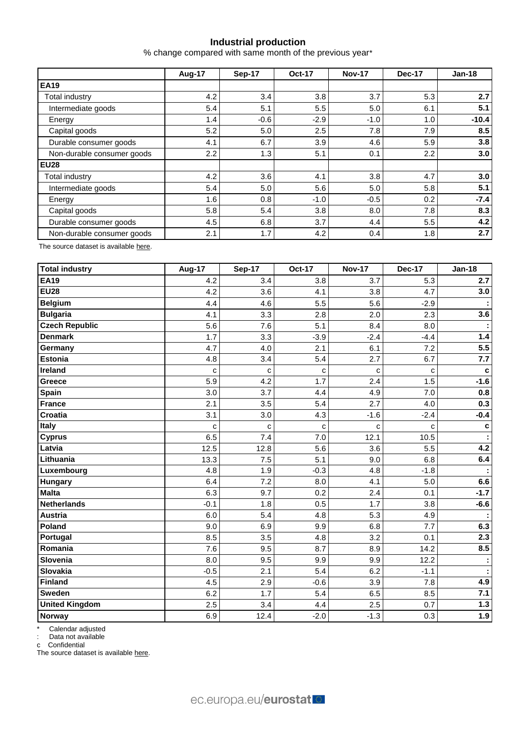# **Industrial production**

% change compared with same month of the previous year\*

|                            | <b>Aug-17</b> | Sep-17 | <b>Oct-17</b> | <b>Nov-17</b> | <b>Dec-17</b> | $Jan-18$ |  |
|----------------------------|---------------|--------|---------------|---------------|---------------|----------|--|
| <b>EA19</b>                |               |        |               |               |               |          |  |
| <b>Total industry</b>      | 4.2           | 3.4    | 3.8           | 3.7           | 5.3           | 2.7      |  |
| Intermediate goods         | 5.4           | 5.1    | 5.5           | 5.0           | 6.1           | 5.1      |  |
| Energy                     | 1.4           | $-0.6$ | $-2.9$        | $-1.0$        | 1.0           | $-10.4$  |  |
| Capital goods              | 5.2           | 5.0    | 2.5           | 7.8           | 7.9           | 8.5      |  |
| Durable consumer goods     | 4.1           | 6.7    | 3.9           | 4.6           | 5.9           | 3.8      |  |
| Non-durable consumer goods | $2.2^{\circ}$ | 1.3    | 5.1           | 0.1           | 2.2           | 3.0      |  |
| <b>EU28</b>                |               |        |               |               |               |          |  |
| Total industry             | 4.2           | 3.6    | 4.1           | 3.8           | 4.7           | 3.0      |  |
| Intermediate goods         | 5.4           | 5.0    | 5.6           | 5.0           | 5.8           | 5.1      |  |
| Energy                     | 1.6           | 0.8    | $-1.0$        | $-0.5$        | 0.2           | $-7.4$   |  |
| Capital goods              | 5.8           | 5.4    | 3.8           | 8.0           | 7.8           | 8.3      |  |
| Durable consumer goods     | 4.5           | 6.8    | 3.7           | 4.4           | 5.5           | 4.2      |  |
| Non-durable consumer goods | 2.1           | 1.7    | 4.2           | 0.4           | 1.8           | 2.7      |  |

The source dataset is availabl[e here.](http://appsso.eurostat.ec.europa.eu/nui/show.do?query=BOOKMARK_DS-069583_QID_-628F3FF0_UID_-3F171EB0&layout=TIME,C,X,0;GEO,L,Y,0;NACE_R2,L,Y,1;INDIC_BT,L,Z,0;S_ADJ,L,Z,1;UNIT,L,Z,2;INDICATORS,C,Z,3;&zSelection=DS-069583UNIT,PCH_PRE;DS-069583S_ADJ,SCA;DS-069583INDIC_BT,PROD;DS-069583INDICATORS,OBS_FLAG;&rankName1=UNIT_1_2_-1_2&rankName2=INDIC-BT_1_2_-1_2&rankName3=INDICATORS_1_2_-1_2&rankName4=S-ADJ_1_2_-1_2&rankName5=TIME_1_0_0_0&rankName6=GEO_1_0_0_1&rankName7=NACE-R2_1_2_1_1&sortR=ASC_-1_FIRST&sortC=ASC_-1_FIRST&rStp=&cStp=&rDCh=&cDCh=&rDM=true&cDM=true&footnes=false&empty=false&wai=false&time_mode=ROLLING&time_most_recent=true&lang=EN&cfo=%23%23%23%2C%23%23%23.%23%23%23)

| <b>Total industry</b> | <b>Aug-17</b> | <b>Sep-17</b> | <b>Oct-17</b> | <b>Nov-17</b> | <b>Dec-17</b> | <b>Jan-18</b> |
|-----------------------|---------------|---------------|---------------|---------------|---------------|---------------|
| <b>EA19</b>           | 4.2           | 3.4           | 3.8           | 3.7           | 5.3           | 2.7           |
| <b>EU28</b>           | 4.2           | 3.6           | 4.1           | 3.8           | 4.7           | 3.0           |
| <b>Belgium</b>        | 4.4           | 4.6           | 5.5           | 5.6           | $-2.9$        |               |
| <b>Bulgaria</b>       | 4.1           | 3.3           | 2.8           | 2.0           | 2.3           | 3.6           |
| <b>Czech Republic</b> | 5.6           | 7.6           | 5.1           | 8.4           | 8.0           |               |
| <b>Denmark</b>        | 1.7           | 3.3           | $-3.9$        | $-2.4$        | $-4.4$        | 1.4           |
| Germany               | 4.7           | 4.0           | 2.1           | 6.1           | 7.2           | 5.5           |
| <b>Estonia</b>        | 4.8           | 3.4           | 5.4           | 2.7           | 6.7           | 7.7           |
| <b>Ireland</b>        | C             | $\mathbf c$   | C             | C             | C             | $\mathbf c$   |
| Greece                | 5.9           | 4.2           | 1.7           | 2.4           | 1.5           | $-1.6$        |
| Spain                 | 3.0           | 3.7           | 4.4           | 4.9           | 7.0           | 0.8           |
| <b>France</b>         | 2.1           | 3.5           | 5.4           | 2.7           | 4.0           | 0.3           |
| <b>Croatia</b>        | 3.1           | 3.0           | 4.3           | $-1.6$        | $-2.4$        | $-0.4$        |
| Italy                 | C             | C             | C             | с             | с             | c             |
| <b>Cyprus</b>         | 6.5           | 7.4           | 7.0           | 12.1          | 10.5          |               |
| Latvia                | 12.5          | 12.8          | 5.6           | 3.6           | 5.5           | 4.2           |
| Lithuania             | 13.3          | 7.5           | 5.1           | 9.0           | 6.8           | 6.4           |
| Luxembourg            | 4.8           | 1.9           | $-0.3$        | 4.8           | $-1.8$        |               |
| Hungary               | 6.4           | 7.2           | 8.0           | 4.1           | 5.0           | 6.6           |
| <b>Malta</b>          | 6.3           | 9.7           | 0.2           | 2.4           | 0.1           | $-1.7$        |
| <b>Netherlands</b>    | $-0.1$        | 1.8           | 0.5           | 1.7           | 3.8           | $-6.6$        |
| <b>Austria</b>        | 6.0           | 5.4           | 4.8           | 5.3           | 4.9           |               |
| Poland                | 9.0           | 6.9           | 9.9           | 6.8           | 7.7           | 6.3           |
| Portugal              | 8.5           | 3.5           | 4.8           | 3.2           | 0.1           | 2.3           |
| Romania               | 7.6           | 9.5           | 8.7           | 8.9           | 14.2          | 8.5           |
| Slovenia              | 8.0           | 9.5           | 9.9           | 9.9           | 12.2          |               |
| Slovakia              | $-0.5$        | 2.1           | 5.4           | 6.2           | $-1.1$        |               |
| <b>Finland</b>        | 4.5           | 2.9           | $-0.6$        | 3.9           | 7.8           | 4.9           |
| <b>Sweden</b>         | 6.2           | 1.7           | 5.4           | 6.5           | 8.5           | 7.1           |
| <b>United Kingdom</b> | 2.5           | 3.4           | 4.4           | 2.5           | 0.7           | $1.3$         |
| Norway                | 6.9           | 12.4          | $-2.0$        | $-1.3$        | 0.3           | 1.9           |

\* Calendar adjusted

: Data not available

c Confidential

The source dataset is available [here.](http://appsso.eurostat.ec.europa.eu/nui/show.do?query=BOOKMARK_DS-069583_QID_690FAA53_UID_-3F171EB0&layout=TIME,C,X,0;GEO,L,Y,0;NACE_R2,L,Y,1;INDIC_BT,L,Z,0;S_ADJ,L,Z,1;UNIT,L,Z,2;INDICATORS,C,Z,3;&zSelection=DS-069583UNIT,PCH_SM;DS-069583S_ADJ,CA;DS-069583INDIC_BT,PROD;DS-069583INDICATORS,OBS_FLAG;&rankName1=UNIT_1_2_-1_2&rankName2=INDIC-BT_1_2_-1_2&rankName3=INDICATORS_1_2_-1_2&rankName4=S-ADJ_1_2_-1_2&rankName5=TIME_1_0_0_0&rankName6=GEO_1_2_0_1&rankName7=NACE-R2_1_2_1_1&sortC=ASC_-1_FIRST&rStp=&cStp=&rDCh=&cDCh=&rDM=true&cDM=true&footnes=false&empty=false&wai=false&time_mode=ROLLING&time_most_recent=true&lang=EN&cfo=%23%23%23%2C%23%23%23.%23%23%23)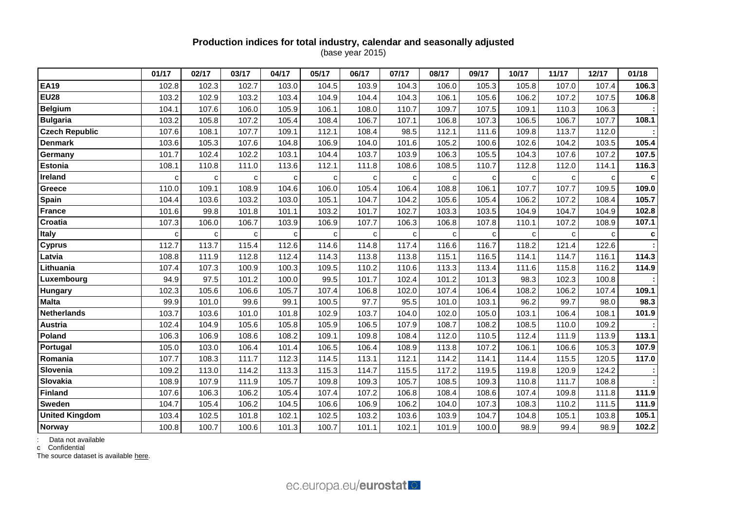## **Production indices for total industry, calendar and seasonally adjusted** (base year 2015)

|                       | 01/17 | 02/17 | 03/17 | 04/17        | 05/17 | 06/17 | 07/17 | 08/17 | 09/17 | 10/17 | 11/17 | 12/17 | 01/18 |
|-----------------------|-------|-------|-------|--------------|-------|-------|-------|-------|-------|-------|-------|-------|-------|
| <b>EA19</b>           | 102.8 | 102.3 | 102.7 | 103.0        | 104.5 | 103.9 | 104.3 | 106.0 | 105.3 | 105.8 | 107.0 | 107.4 | 106.3 |
| <b>EU28</b>           | 103.2 | 102.9 | 103.2 | 103.4        | 104.9 | 104.4 | 104.3 | 106.1 | 105.6 | 106.2 | 107.2 | 107.5 | 106.8 |
| <b>Belgium</b>        | 104.1 | 107.6 | 106.0 | 105.9        | 106.1 | 108.0 | 110.7 | 109.7 | 107.5 | 109.1 | 110.3 | 106.3 |       |
| <b>Bulgaria</b>       | 103.2 | 105.8 | 107.2 | 105.4        | 108.4 | 106.7 | 107.1 | 106.8 | 107.3 | 106.5 | 106.7 | 107.7 | 108.1 |
| <b>Czech Republic</b> | 107.6 | 108.1 | 107.7 | 109.1        | 112.1 | 108.4 | 98.5  | 112.1 | 111.6 | 109.8 | 113.7 | 112.0 |       |
| <b>Denmark</b>        | 103.6 | 105.3 | 107.6 | 104.8        | 106.9 | 104.0 | 101.6 | 105.2 | 100.6 | 102.6 | 104.2 | 103.5 | 105.4 |
| Germany               | 101.7 | 102.4 | 102.2 | 103.1        | 104.4 | 103.7 | 103.9 | 106.3 | 105.5 | 104.3 | 107.6 | 107.2 | 107.5 |
| Estonia               | 108.1 | 110.8 | 111.0 | 113.6        | 112.1 | 111.8 | 108.6 | 108.5 | 110.7 | 112.8 | 112.0 | 114.1 | 116.3 |
| Ireland               | C     | C     | c     | $\mathbf{C}$ | C     | C     | c     | C     | C     | C     | с     | C     | c     |
| Greece                | 110.0 | 109.1 | 108.9 | 104.6        | 106.0 | 105.4 | 106.4 | 108.8 | 106.1 | 107.7 | 107.7 | 109.5 | 109.0 |
| Spain                 | 104.4 | 103.6 | 103.2 | 103.0        | 105.1 | 104.7 | 104.2 | 105.6 | 105.4 | 106.2 | 107.2 | 108.4 | 105.7 |
| <b>France</b>         | 101.6 | 99.8  | 101.8 | 101.1        | 103.2 | 101.7 | 102.7 | 103.3 | 103.5 | 104.9 | 104.7 | 104.9 | 102.8 |
| Croatia               | 107.3 | 106.0 | 106.7 | 103.9        | 106.9 | 107.7 | 106.3 | 106.8 | 107.8 | 110.1 | 107.2 | 108.9 | 107.1 |
| Italy                 | c     | с     | c     | с            | C     | C     | с     | с     | С     | с     | с     | c     | c     |
| <b>Cyprus</b>         | 112.7 | 113.7 | 115.4 | 112.6        | 114.6 | 114.8 | 117.4 | 116.6 | 116.7 | 118.2 | 121.4 | 122.6 |       |
| Latvia                | 108.8 | 111.9 | 112.8 | 112.4        | 114.3 | 113.8 | 113.8 | 115.1 | 116.5 | 114.1 | 114.7 | 116.1 | 114.3 |
| Lithuania             | 107.4 | 107.3 | 100.9 | 100.3        | 109.5 | 110.2 | 110.6 | 113.3 | 113.4 | 111.6 | 115.8 | 116.2 | 114.9 |
| Luxembourg            | 94.9  | 97.5  | 101.2 | 100.0        | 99.5  | 101.7 | 102.4 | 101.2 | 101.3 | 98.3  | 102.3 | 100.8 |       |
| Hungary               | 102.3 | 105.6 | 106.6 | 105.7        | 107.4 | 106.8 | 102.0 | 107.4 | 106.4 | 108.2 | 106.2 | 107.4 | 109.1 |
| <b>Malta</b>          | 99.9  | 101.0 | 99.6  | 99.1         | 100.5 | 97.7  | 95.5  | 101.0 | 103.1 | 96.2  | 99.7  | 98.0  | 98.3  |
| <b>Netherlands</b>    | 103.7 | 103.6 | 101.0 | 101.8        | 102.9 | 103.7 | 104.0 | 102.0 | 105.0 | 103.1 | 106.4 | 108.1 | 101.9 |
| <b>Austria</b>        | 102.4 | 104.9 | 105.6 | 105.8        | 105.9 | 106.5 | 107.9 | 108.7 | 108.2 | 108.5 | 110.0 | 109.2 |       |
| Poland                | 106.3 | 106.9 | 108.6 | 108.2        | 109.1 | 109.8 | 108.4 | 112.0 | 110.5 | 112.4 | 111.9 | 113.9 | 113.1 |
| Portugal              | 105.0 | 103.0 | 106.4 | 101.4        | 106.5 | 106.4 | 108.9 | 113.8 | 107.2 | 106.1 | 106.6 | 105.3 | 107.9 |
| Romania               | 107.7 | 108.3 | 111.7 | 112.3        | 114.5 | 113.1 | 112.1 | 114.2 | 114.1 | 114.4 | 115.5 | 120.5 | 117.0 |
| Slovenia              | 109.2 | 113.0 | 114.2 | 113.3        | 115.3 | 114.7 | 115.5 | 117.2 | 119.5 | 119.8 | 120.9 | 124.2 |       |
| Slovakia              | 108.9 | 107.9 | 111.9 | 105.7        | 109.8 | 109.3 | 105.7 | 108.5 | 109.3 | 110.8 | 111.7 | 108.8 |       |
| <b>Finland</b>        | 107.6 | 106.3 | 106.2 | 105.4        | 107.4 | 107.2 | 106.8 | 108.4 | 108.6 | 107.4 | 109.8 | 111.8 | 111.9 |
| Sweden                | 104.7 | 105.4 | 106.2 | 104.5        | 106.6 | 106.9 | 106.2 | 104.0 | 107.3 | 108.3 | 110.2 | 111.5 | 111.9 |
| <b>United Kingdom</b> | 103.4 | 102.5 | 101.8 | 102.1        | 102.5 | 103.2 | 103.6 | 103.9 | 104.7 | 104.8 | 105.1 | 103.8 | 105.1 |
| Norway                | 100.8 | 100.7 | 100.6 | 101.3        | 100.7 | 101.1 | 102.1 | 101.9 | 100.0 | 98.9  | 99.4  | 98.9  | 102.2 |

: Data not available

c Confidential

The source dataset is available [here.](http://appsso.eurostat.ec.europa.eu/nui/show.do?query=BOOKMARK_DS-069583_QID_24071044_UID_-3F171EB0&layout=TIME,C,X,0;GEO,L,Y,0;INDIC_BT,L,Z,0;S_ADJ,L,Z,1;UNIT,L,Z,2;NACE_R2,L,Z,3;INDICATORS,C,Z,4;&zSelection=DS-069583UNIT,I10;DS-069583S_ADJ,SCA;DS-069583INDIC_BT,PROD;DS-069583INDICATORS,OBS_FLAG;DS-069583NACE_R2,B-D;&rankName1=UNIT_1_2_-1_2&rankName2=INDIC-BT_1_2_-1_2&rankName3=INDICATORS_1_2_-1_2&rankName4=S-ADJ_1_2_-1_2&rankName5=NACE-R2_1_2_1_1&rankName6=TIME_1_0_0_0&rankName7=GEO_1_2_0_1&sortC=ASC_-1_FIRST&rStp=&cStp=&rDCh=&cDCh=&rDM=true&cDM=true&footnes=false&empty=false&wai=false&time_mode=ROLLING&time_most_recent=true&lang=EN&cfo=%23%23%23%2C%23%23%23.%23%23%23)